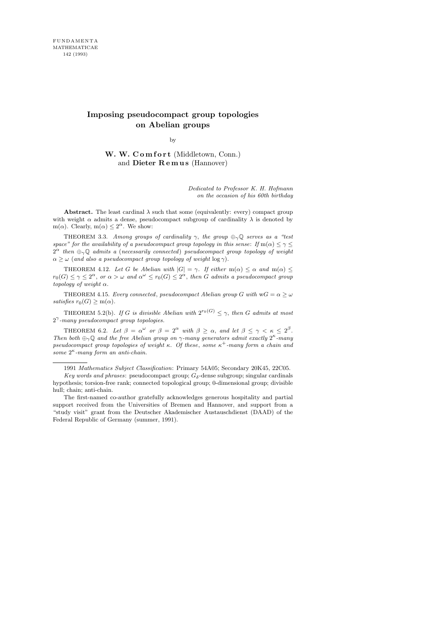## **Imposing pseudocompact group topologies on Abelian groups**

by

W. W. Comfort (Middletown, Conn.) and Dieter Remus (Hannover)

> *Dedicated to Professor K. H. Hofmann on the occasion of his 60th birthday*

**Abstract.** The least cardinal  $\lambda$  such that some (equivalently: every) compact group with weight  $\alpha$  admits a dense, pseudocompact subgroup of cardinality  $\lambda$  is denoted by m( $\alpha$ ). Clearly, m( $\alpha$ )  $\leq 2^{\alpha}$ . We show:

THEOREM 3.3. *Among groups of cardinality*  $\gamma$ , *the group*  $\bigoplus_{\gamma} \mathbb{Q}$  *serves as a "test space" for the availability of a pseudocompact group topology in this sense: If*  $m(\alpha) \leq \gamma \leq$ 2 *<sup>α</sup> then ⊕γ*Q *admits a* (*necessarily connected*) *pseudocompact group topology of weight*  $\alpha \geq \omega$  (*and also a pseudocompact group topology of weight*  $\log \gamma$ ).

THEOREM 4.12. *Let G be Abelian with*  $|G| = \gamma$ *. If either* m( $\alpha$ )  $\leq \alpha$  *and* m( $\alpha$ )  $\leq$  $r_0(G) \leq \gamma \leq 2^{\alpha}$ , *or*  $\alpha > \omega$  *and*  $\alpha^{\omega} \leq r_0(G) \leq 2^{\alpha}$ , *then G admits a pseudocompact group topology of weight α.*

THEOREM 4.15. *Every connected, pseudocompact Abelian group G* with  $wG = \alpha \geq \omega$ *satisfies*  $r_0(G) \geq m(\alpha)$ *.* 

**THEOREM** 5.2(b). *If G is divisible Abelian with*  $2^{r_0(G)} \leq \gamma$ , *then G admits at most* 2 *γ -many pseudocompact group topologies.*

THEOREM 6.2. Let  $\beta = \alpha^{\omega}$  or  $\beta = 2^{\alpha}$  with  $\beta \geq \alpha$ , and let  $\beta \leq \gamma < \kappa \leq 2^{\beta}$ . *Then both*  $\bigoplus_{\gamma} \mathbb{Q}$  *and the free Abelian group on*  $\gamma$ *-many generators admit exactly*  $2^{\kappa}$ *-many pseudocompact group topologies of weight κ. Of these*, *some κ* <sup>+</sup>*-many form a chain and some* 2 *κ -many form an anti-chain.*

1991 *Mathematics Subject Classification*: Primary 54A05; Secondary 20K45, 22C05.

The first-named co-author gratefully acknowledges generous hospitality and partial support received from the Universities of Bremen and Hannover, and support from a "study visit" grant from the Deutscher Akademischer Austauschdienst (DAAD) of the Federal Republic of Germany (summer, 1991).

*Key words and phrases*: pseudocompact group;  $G_{\delta}$ -dense subgroup; singular cardinals hypothesis; torsion-free rank; connected topological group; 0-dimensional group; divisible hull; chain; anti-chain.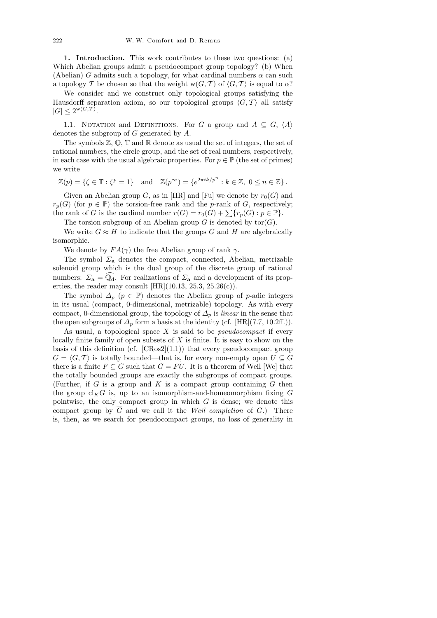1. Introduction. This work contributes to these two questions: (a) Which Abelian groups admit a pseudocompact group topology? (b) When (Abelian) G admits such a topology, for what cardinal numbers  $\alpha$  can such a topology T be chosen so that the weight w(G, T) of  $\langle G, T \rangle$  is equal to  $\alpha$ ?

We consider and we construct only topological groups satisfying the Hausdorff separation axiom, so our topological groups  $\langle G, \mathcal{T} \rangle$  all satisfy  $|G| \leq 2^{w(G,\mathcal{T})}.$ 

1.1. NOTATION and DEFINITIONS. For G a group and  $A \subseteq G$ ,  $\langle A \rangle$ denotes the subgroup of G generated by A.

The symbols  $\mathbb{Z}, \mathbb{Q}, \mathbb{T}$  and  $\mathbb{R}$  denote as usual the set of integers, the set of rational numbers, the circle group, and the set of real numbers, respectively, in each case with the usual algebraic properties. For  $p \in \mathbb{P}$  (the set of primes) we write

 $\mathbb{Z}(p) = \{ \zeta \in \mathbb{T} : \zeta^p = 1 \}$  and  $\mathbb{Z}(p^{\infty}) = \{ e^{2\pi i k/p^n} : k \in \mathbb{Z}, 0 \le n \in \mathbb{Z} \}$ .

Given an Abelian group G, as in [HR] and [Fu] we denote by  $r_0(G)$  and  $r_p(G)$  (for  $p \in \mathbb{P}$ ) the torsion-free rank and the p-rank of G, respectively; the rank of G is the cardinal number  $r(G) = r_0(G) + \sum \{r_p(G) : p \in \mathbb{P}\}.$ 

The torsion subgroup of an Abelian group G is denoted by  $\text{tor}(G)$ .

We write  $G \approx H$  to indicate that the groups G and H are algebraically isomorphic.

We denote by  $FA(\gamma)$  the free Abelian group of rank  $\gamma$ .

The symbol  $\Sigma_a$  denotes the compact, connected, Abelian, metrizable solenoid group which is the dual group of the discrete group of rational numbers:  $\Sigma_a = \overline{\mathbb{Q}_d}$ . For realizations of  $\Sigma_a$  and a development of its properties, the reader may consult  $[HR](10.13, 25.3, 25.26(c)).$ 

The symbol  $\Delta_p$  ( $p \in \mathbb{P}$ ) denotes the Abelian group of p-adic integers in its usual (compact, 0-dimensional, metrizable) topology. As with every compact, 0-dimensional group, the topology of  $\Delta_p$  is *linear* in the sense that the open subgroups of  $\Delta_p$  form a basis at the identity (cf. [HR](7.7, 10.2ff.)).

As usual, a topological space  $X$  is said to be *pseudocompact* if every locally finite family of open subsets of  $X$  is finite. It is easy to show on the basis of this definition (cf.  $[CRos2](1.1)$ ) that every pseudocompact group  $G = \langle G, \mathcal{T} \rangle$  is totally bounded—that is, for every non-empty open  $U \subseteq G$ there is a finite  $F \subseteq G$  such that  $G = FU$ . It is a theorem of Weil [We] that the totally bounded groups are exactly the subgroups of compact groups. (Further, if  $G$  is a group and  $K$  is a compact group containing  $G$  then the group  $\operatorname{cl}_KG$  is, up to an isomorphism-and-homeomorphism fixing G pointwise, the only compact group in which  $G$  is dense; we denote this compact group by  $\overline{G}$  and we call it the Weil completion of G.) There is, then, as we search for pseudocompact groups, no loss of generality in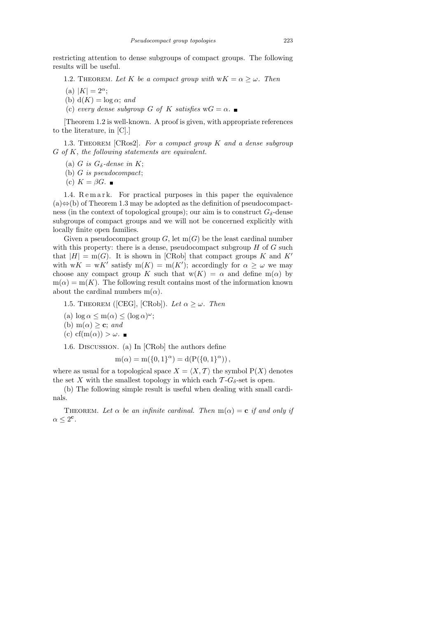restricting attention to dense subgroups of compact groups. The following results will be useful.

1.2. THEOREM. Let K be a compact group with  $wK = \alpha \geq \omega$ . Then

- (a)  $|K| = 2^{\alpha}$ ;
- (b)  $d(K) = \log \alpha$ ; and
- (c) every dense subgroup G of K satisfies  $wG = \alpha$ .

[Theorem 1.2 is well-known. A proof is given, with appropriate references to the literature, in [C].]

1.3. THEOREM  $[CRos2]$ . For a compact group  $K$  and a dense subgroup G of K, the following statements are equivalent.

- (a) G is  $G_{\delta}$ -dense in K;
- (b) G is pseudocompact;
- (c)  $K = \beta G$ .

1.4. Remark. For practical purposes in this paper the equivalence  $(a) \Leftrightarrow (b)$  of Theorem 1.3 may be adopted as the definition of pseudocompactness (in the context of topological groups); our aim is to construct  $G_{\delta}$ -dense subgroups of compact groups and we will not be concerned explicitly with locally finite open families.

Given a pseudocompact group  $G$ , let  $m(G)$  be the least cardinal number with this property: there is a dense, pseudocompact subgroup  $H$  of  $G$  such that  $|H| = m(G)$ . It is shown in [CRob] that compact groups K and K' with  $wK = wK'$  satisfy  $m(K) = m(K')$ ; accordingly for  $\alpha \geq \omega$  we may choose any compact group K such that  $w(K) = \alpha$  and define m( $\alpha$ ) by  $m(\alpha) = m(K)$ . The following result contains most of the information known about the cardinal numbers  $m(\alpha)$ .

1.5. THEOREM ([CEG], [CRob]). Let  $\alpha \geq \omega$ . Then

(a)  $\log \alpha \leq m(\alpha) \leq (\log \alpha)^{\omega};$ 

(b) m( $\alpha$ ) > c; and

(c) cf(m( $\alpha$ )) >  $\omega$ . ■

1.6. Discussion. (a) In [CRob] the authors define

$$
m(\alpha) = m({0,1}^{\alpha}) = d(P({0,1}^{\alpha})),
$$

where as usual for a topological space  $X = \langle X, \mathcal{T} \rangle$  the symbol P(X) denotes the set X with the smallest topology in which each  $\mathcal{T}-G_{\delta}$ -set is open.

(b) The following simple result is useful when dealing with small cardinals.

THEOREM. Let  $\alpha$  be an infinite cardinal. Then  $m(\alpha) = c$  if and only if  $\alpha \leq 2^{\mathbf{c}}$ .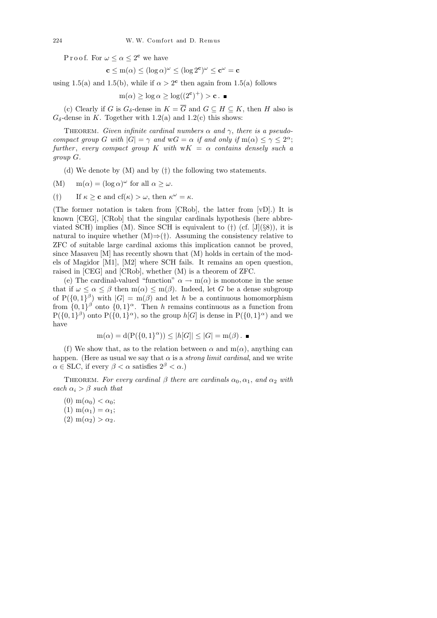P r o o f. For  $\omega \leq \alpha \leq 2^{\mathbf{c}}$  we have

$$
\mathbf{c} \leq m(\alpha) \leq (\log \alpha)^{\omega} \leq (\log 2^{\mathbf{c}})^{\omega} \leq \mathbf{c}^{\omega} = \mathbf{c}
$$

using 1.5(a) and 1.5(b), while if  $\alpha > 2^{\mathbf{c}}$  then again from 1.5(a) follows

$$
m(\alpha) \ge \log \alpha \ge \log((2^{\mathbf{c}})^+) > \mathbf{c}.
$$

(c) Clearly if G is  $G_{\delta}$ -dense in  $K = \overline{G}$  and  $G \subseteq H \subseteq K$ , then H also is  $G_{\delta}$ -dense in K. Together with 1.2(a) and 1.2(c) this shows:

THEOREM. Given infinite cardinal numbers  $\alpha$  and  $\gamma$ , there is a pseudocompact group G with  $|G| = \gamma$  and  $wG = \alpha$  if and only if  $m(\alpha) \leq \gamma \leq 2^{\alpha}$ ; further, every compact group K with  $wK = \alpha$  contains densely such a group G.

(d) We denote by (M) and by (†) the following two statements.

(M)  $m(\alpha) = (\log \alpha)^{\omega}$  for all  $\alpha \geq \omega$ .

(†) If  $\kappa \geq \mathbf{c}$  and  $cf(\kappa) > \omega$ , then  $\kappa^{\omega} = \kappa$ .

(The former notation is taken from [CRob], the latter from [vD].) It is known [CEG], [CRob] that the singular cardinals hypothesis (here abbreviated SCH) implies (M). Since SCH is equivalent to  $(\dagger)$  (cf. [J](§8)), it is natural to inquire whether  $(M) \Rightarrow (\dagger)$ . Assuming the consistency relative to ZFC of suitable large cardinal axioms this implication cannot be proved, since Masaveu [M] has recently shown that (M) holds in certain of the models of Magidor [M1], [M2] where SCH fails. It remains an open question, raised in [CEG] and [CRob], whether (M) is a theorem of ZFC.

(e) The cardinal-valued "function"  $\alpha \to m(\alpha)$  is monotone in the sense that if  $\omega \leq \alpha \leq \beta$  then  $m(\alpha) \leq m(\beta)$ . Indeed, let G be a dense subgroup of  $P({0,1}^{\beta})$  with  $|G| = m(\beta)$  and let h be a continuous homomorphism from  $\{0,1\}^{\beta}$  onto  $\{0,1\}^{\alpha}$ . Then h remains continuous as a function from  $P({0,1}^{\beta})$  onto  $P({0,1}^{\alpha})$ , so the group  $h[G]$  is dense in  $P({0,1}^{\alpha})$  and we have

$$
m(\alpha) = d(P(\{0,1\}^{\alpha})) \le |h[G]| \le |G| = m(\beta).
$$

(f) We show that, as to the relation between  $\alpha$  and  $m(\alpha)$ , anything can happen. (Here as usual we say that  $\alpha$  is a *strong limit cardinal*, and we write  $\alpha \in$  SLC, if every  $\beta < \alpha$  satisfies  $2^{\beta} < \alpha$ .)

THEOREM. For every cardinal  $\beta$  there are cardinals  $\alpha_0, \alpha_1,$  and  $\alpha_2$  with each  $\alpha_i > \beta$  such that

- (0)  $m(\alpha_0) < \alpha_0$ ; (1)  $m(\alpha_1) = \alpha_1;$
- (2)  $m(\alpha_2) > \alpha_2$ .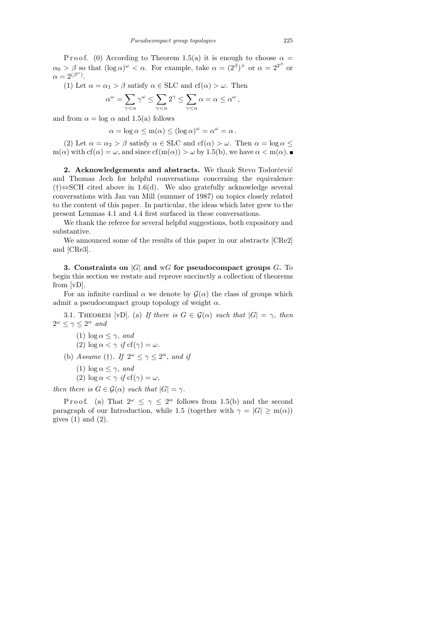P r o o f. (0) According to Theorem 1.5(a) it is enough to choose  $\alpha =$  $\alpha_0 > \beta$  so that  $(\log \alpha)^{\omega} < \alpha$ . For example, take  $\alpha = (2^{\beta})^+$  or  $\alpha = 2^{2^{\beta}}$  or  $\alpha = 2^{(\beta^{\omega})}.$ 

(1) Let  $\alpha = \alpha_1 > \beta$  satisfy  $\alpha \in SLC$  and  $cf(\alpha) > \omega$ . Then

$$
\alpha^\omega = \sum_{\gamma < \alpha} \gamma^\omega \leq \sum_{\gamma < \alpha} 2^\gamma \leq \sum_{\gamma < \alpha} \alpha = \alpha \leq \alpha^\omega,
$$

and from  $\alpha = \log \alpha$  and 1.5(a) follows

$$
\alpha = \log \alpha \le m(\alpha) \le (\log \alpha)^{\omega} = \alpha^{\omega} = \alpha.
$$

(2) Let  $\alpha = \alpha_2 > \beta$  satisfy  $\alpha \in SLC$  and  $cf(\alpha) > \omega$ . Then  $\alpha = \log \alpha \leq$  $m(\alpha)$  with cf( $\alpha$ ) =  $\omega$ , and since cf( $m(\alpha)$ ) >  $\omega$  by 1.5(b), we have  $\alpha < m(\alpha)$ .

2. Acknowledgements and abstracts. We thank Stevo Todorčević and Thomas Jech for helpful conversations concerning the equivalence (†)⇔SCH cited above in 1.6(d). We also gratefully acknowledge several conversations with Jan van Mill (summer of 1987) on topics closely related to the content of this paper. In particular, the ideas which later grew to the present Lemmas 4.1 and 4.4 first surfaced in these conversations.

We thank the referee for several helpful suggestions, both expository and substantive.

We announced some of the results of this paper in our abstracts [CRe2] and [CRe3].

3. Constraints on  $|G|$  and wG for pseudocompact groups G. To begin this section we restate and reprove succinctly a collection of theorems from [vD].

For an infinite cardinal  $\alpha$  we denote by  $\mathcal{G}(\alpha)$  the class of groups which admit a pseudocompact group topology of weight  $\alpha$ .

3.1. THEOREM [vD]. (a) If there is  $G \in \mathcal{G}(\alpha)$  such that  $|G| = \gamma$ , then  $2^{\omega} \leq \gamma \leq 2^{\alpha}$  and

- (1)  $\log \alpha \leq \gamma$ , and (2)  $\log \alpha < \gamma$  if  $cf(\gamma) = \omega$ .
- (b) Assume (†). If  $2^{\omega} \leq \gamma \leq 2^{\alpha}$ , and if
	- (1)  $\log \alpha \leq \gamma$ , and
	- (2)  $\log \alpha < \gamma$  if  $cf(\gamma) = \omega$ ,

then there is  $G \in \mathcal{G}(\alpha)$  such that  $|G| = \gamma$ .

Proof. (a) That  $2^{\omega} \leq \gamma \leq 2^{\alpha}$  follows from 1.5(b) and the second paragraph of our Introduction, while 1.5 (together with  $\gamma = |G| \ge m(\alpha)$ ) gives  $(1)$  and  $(2)$ .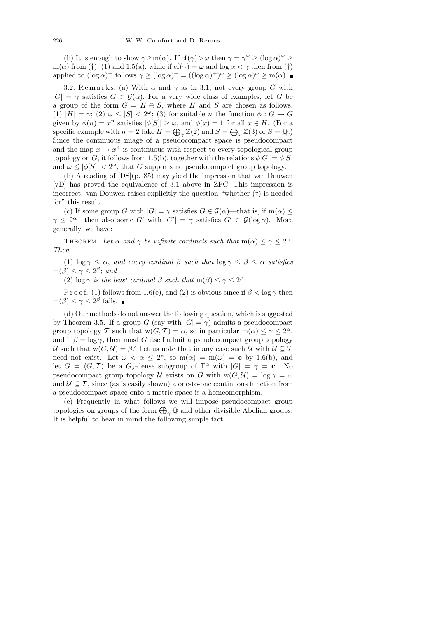(b) It is enough to show  $\gamma \geq m(\alpha)$ . If  $cf(\gamma) > \omega$  then  $\gamma = \gamma^{\omega} \geq (\log \alpha)^{\omega} \geq$ m( $\alpha$ ) from (†), (1) and 1.5(a), while if cf( $\gamma$ ) =  $\omega$  and log  $\alpha < \gamma$  then from (†) applied to  $(\log \alpha)^+$  follows  $\gamma \geq (\log \alpha)^+ = ((\log \alpha)^+)^{\omega} \geq (\log \alpha)^{\omega} \geq m(\alpha)$ .

3.2. Remarks. (a) With  $\alpha$  and  $\gamma$  as in 3.1, not every group G with  $|G| = \gamma$  satisfies  $G \in \mathcal{G}(\alpha)$ . For a very wide class of examples, let G be a group of the form  $G = H \oplus S$ , where H and S are chosen as follows. (1)  $|H| = \gamma$ ; (2)  $\omega \leq |S| < 2^{\omega}$ ; (3) for suitable *n* the function  $\phi : G \to G$ given by  $\phi(n) = x^n$  satisfies  $|\phi[S]| \ge \omega$ , and  $\phi(x) = 1$  for all  $x \in H$ . (For a specific example with  $n = 2$  take  $H = \bigoplus_{\gamma} \mathbb{Z}(2)$  and  $S = \bigoplus_{\omega} \mathbb{Z}(3)$  or  $S = \mathbb{Q}$ . Since the continuous image of a pseudocompact space is pseudocompact and the map  $x \to x^n$  is continuous with respect to every topological group topology on G, it follows from 1.5(b), together with the relations  $\phi[G] = \phi[S]$ and  $\omega \leq |\phi[S]| < 2^{\omega}$ , that G supports no pseudocompact group topology.

(b) A reading of [DS](p. 85) may yield the impression that van Douwen [vD] has proved the equivalence of 3.1 above in ZFC. This impression is incorrect: van Douwen raises explicitly the question "whether (†) is needed for" this result.

(c) If some group G with  $|G| = \gamma$  satisfies  $G \in \mathcal{G}(\alpha)$ —that is, if  $m(\alpha) \leq$  $\gamma \leq 2^{\alpha}$ —then also some G' with  $|G'| = \gamma$  satisfies  $G' \in \mathcal{G}(\log \gamma)$ . More generally, we have:

THEOREM. Let  $\alpha$  and  $\gamma$  be infinite cardinals such that  $m(\alpha) \leq \gamma \leq 2^{\alpha}$ . Then

(1) log  $\gamma \leq \alpha$ , and every cardinal  $\beta$  such that  $\log \gamma \leq \beta \leq \alpha$  satisfies  $m(\beta) \leq \gamma \leq 2^{\beta}$ ; and

(2)  $\log \gamma$  is the least cardinal  $\beta$  such that  $m(\beta) \leq \gamma \leq 2^{\beta}$ .

P r o o f. (1) follows from 1.6(e), and (2) is obvious since if  $\beta < \log \gamma$  then  $m(\beta) \leq \gamma \leq 2^{\beta}$  fails.

(d) Our methods do not answer the following question, which is suggested by Theorem 3.5. If a group G (say with  $|G| = \gamma$ ) admits a pseudocompact group topology T such that  $w(G, T) = \alpha$ , so in particular  $m(\alpha) \leq \gamma \leq 2^{\alpha}$ , and if  $\beta = \log \gamma$ , then must G itself admit a pseudocompact group topology U such that  $w(G, U) = \beta$ ? Let us note that in any case such U with  $U \subseteq T$ need not exist. Let  $\omega < \alpha \leq 2^c$ , so  $m(\alpha) = m(\omega) = c$  by 1.6(b), and let  $G = \langle G, \mathcal{T} \rangle$  be a  $G_{\delta}$ -dense subgroup of  $\mathbb{T}^{\alpha}$  with  $|G| = \gamma = \mathbf{c}$ . No pseudocompact group topology U exists on G with  $w(G, U) = \log \gamma = \omega$ and  $\mathcal{U} \subseteq \mathcal{T}$ , since (as is easily shown) a one-to-one continuous function from a pseudocompact space onto a metric space is a homeomorphism.

(e) Frequently in what follows we will impose pseudocompact group topologies on groups of the form  $\bigoplus_{\gamma}\mathbb{Q}$  and other divisible Abelian groups. It is helpful to bear in mind the following simple fact.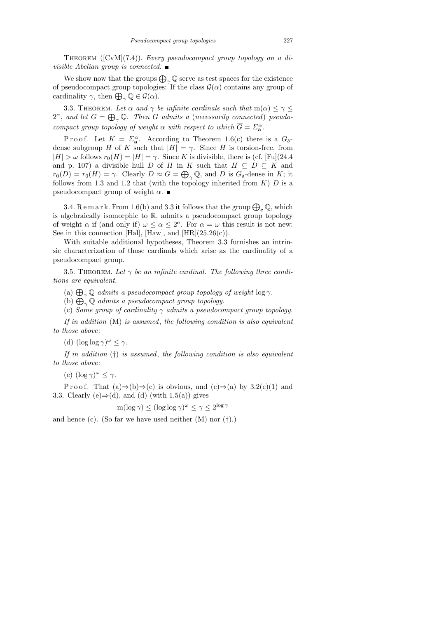THEOREM ( $[CvM](7.4)$ ). Every pseudocompact group topology on a divisible Abelian group is connected.  $\blacksquare$ 

We show now that the groups  $\bigoplus_{\gamma} \mathbb{Q}$  serve as test spaces for the existence of pseudocompact group topologies: If the class  $\mathcal{G}(\alpha)$  contains any group of cardinality  $\gamma$ , then  $\bigoplus_{\gamma} \mathbb{Q} \in \mathcal{G}(\alpha)$ .

3.3. THEOREM. Let  $\alpha$  and  $\gamma$  be infinite cardinals such that  $m(\alpha) \leq \gamma \leq$  $2^{\alpha}$ , and let  $G = \bigoplus_{\gamma} \mathbb{Q}$ . Then G admits a (necessarily connected) pseudocompact group topology of weight  $\alpha$  with respect to which  $\overline{G} = \sum_{\mathbf{a}}^{\alpha}$ .

Proof. Let  $K = \sum_{\mathbf{a}}^{\alpha}$ . According to Theorem 1.6(c) there is a  $G_{\delta}$ dense subgroup H of K such that  $|H| = \gamma$ . Since H is torsion-free, from  $|H| > \omega$  follows  $r_0(H) = |H| = \gamma$ . Since K is divisible, there is (cf. [Fu](24.4) and p. 107) a divisible hull D of H in K such that  $H \subseteq D \subseteq K$  and  $r_0(D) = r_0(H) = \gamma$ . Clearly  $D \approx G = \bigoplus_{\gamma} \mathbb{Q}$ , and D is  $G_{\delta}$ -dense in K; it follows from 1.3 and 1.2 that (with the topology inherited from  $K$ )  $D$  is a pseudocompact group of weight  $\alpha$ .

3.4. R e m a r k. From 1.6(b) and 3.3 it follows that the group  $\bigoplus_{\mathbf{c}} \mathbb{Q}$ , which is algebraically isomorphic to  $\mathbb{R}$ , admits a pseudocompact group topology of weight  $\alpha$  if (and only if)  $\omega \leq \alpha \leq 2^{\mathbf{c}}$ . For  $\alpha = \omega$  this result is not new: See in this connection [Hal], [Haw], and  $[HR](25.26(c))$ .

With suitable additional hypotheses, Theorem 3.3 furnishes an intrinsic characterization of those cardinals which arise as the cardinality of a pseudocompact group.

3.5. THEOREM. Let  $\gamma$  be an infinite cardinal. The following three conditions are equivalent.

(a)  $\bigoplus_{\gamma} \mathbb{Q}$  admits a pseudocompact group topology of weight  $\log \gamma$ .

(b)  $\bigoplus_{\gamma}^{\prime} \mathbb{Q}$  admits a pseudocompact group topology.

(c) Some group of cardinality  $\gamma$  admits a pseudocompact group topology.

If in addition  $(M)$  is assumed, the following condition is also equivalent to those above:

(d)  $(\log \log \gamma)^{\omega} \leq \gamma$ .

If in addition  $(†)$  is assumed, the following condition is also equivalent to those above:

(e)  $(\log \gamma)^{\omega} \leq \gamma$ .

P r o o f. That  $(a) \Rightarrow (b) \Rightarrow (c)$  is obvious, and  $(c) \Rightarrow (a)$  by  $3.2(c)(1)$  and 3.3. Clearly (e) $\Rightarrow$ (d), and (d) (with 1.5(a)) gives

$$
m(\log \gamma) \le (\log \log \gamma)^{\omega} \le \gamma \le 2^{\log \gamma}
$$

and hence (c). (So far we have used neither  $(M)$  nor  $(†)$ .)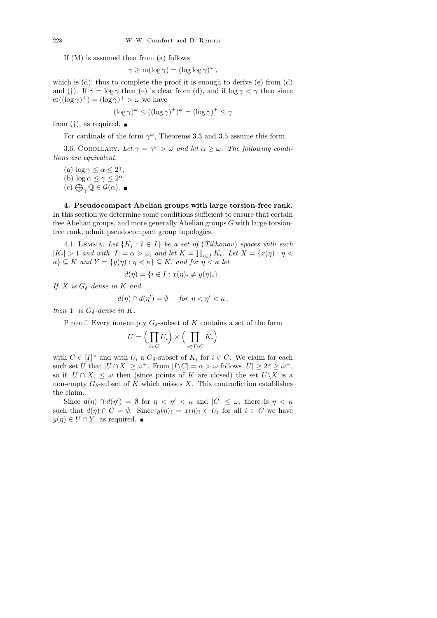If (M) is assumed then from (a) follows

$$
\gamma \ge \mathrm{m}(\log \gamma) = (\log \log \gamma)^{\omega},
$$

which is (d); thus to complete the proof it is enough to derive (e) from (d) and (†). If  $\gamma = \log \gamma$  then (e) is clear from (d), and if  $\log \gamma < \gamma$  then since  $cf((\log \gamma)^+) = (\log \gamma)^+ > \omega$  we have

$$
(\log \gamma)^{\omega} \le ((\log \gamma)^+)^\omega = (\log \gamma)^+ \le \gamma
$$

from  $(\dagger)$ , as required.

For cardinals of the form  $\gamma^{\omega}$ , Theorems 3.3 and 3.5 assume this form.

3.6. COROLLARY. Let  $\gamma = \gamma^{\omega} > \omega$  and let  $\alpha \geq \omega$ . The following conditions are equivalent.

- (a)  $\log \gamma \leq \alpha \leq 2^{\gamma};$
- (b)  $\log \alpha \leq \gamma \leq 2^{\alpha}$ ;
- (c)  $\bigoplus_{\gamma} \mathbb{Q} \in \mathcal{G}(\alpha)$ .

4. Pseudocompact Abelian groups with large torsion-free rank. In this section we determine some conditions sufficient to ensure that certain free Abelian groups, and more generally Abelian groups G with large torsionfree rank, admit pseudocompact group topologies.

4.1. LEMMA. Let  $\{K_i : i \in I\}$  be a set of (Tikhonov) spaces with each  $|K_i| > 1$  and with  $|I| = \alpha > \omega$ , and let  $K = \prod_{i \in I} K_i$ . Let  $X = \{x(\eta) : \eta < \omega\}$  $\{\kappa\} \subseteq K$  and  $Y = \{y(\eta) : \eta < \kappa\} \subseteq K$ , and for  $\eta < \kappa$  let

$$
d(\eta) = \{ i \in I : x(\eta)_i \neq y(\eta)_i \}.
$$

If X is  $G_{\delta}$ -dense in K and

$$
d(\eta) \cap d(\eta') = \emptyset \quad \text{for } \eta < \eta' < \kappa \,,
$$

then Y is  $G_{\delta}$ -dense in K.

P r o o f. Every non-empty  $G_{\delta}$ -subset of K contains a set of the form

$$
U = \left(\prod_{i \in C} U_i\right) \times \left(\prod_{i \in I \setminus C} K_i\right)
$$

with  $C \in [I]^\omega$  and with  $U_i$  a  $G_\delta$ -subset of  $K_i$  for  $i \in C$ . We claim for each such set U that  $|U \cap X| \ge \omega^+$ . From  $|I \setminus C| = \alpha > \omega$  follows  $|U| \ge 2^{\alpha} \ge \omega^+$ , so if  $|U \cap X| \leq \omega$  then (since points of K are closed) the set  $U \backslash X$  is a non-empty  $G_{\delta}$ -subset of K which misses X. This contradiction establishes the claim.

Since  $d(\eta) \cap d(\eta') = \emptyset$  for  $\eta < \eta' < \kappa$  and  $|C| \leq \omega$ , there is  $\eta < \kappa$ such that  $d(\eta) \cap C = \emptyset$ . Since  $y(\eta)_i = x(\eta)_i \in U_i$  for all  $i \in C$  we have  $y(\eta) \in U \cap Y$ , as required.  $\blacksquare$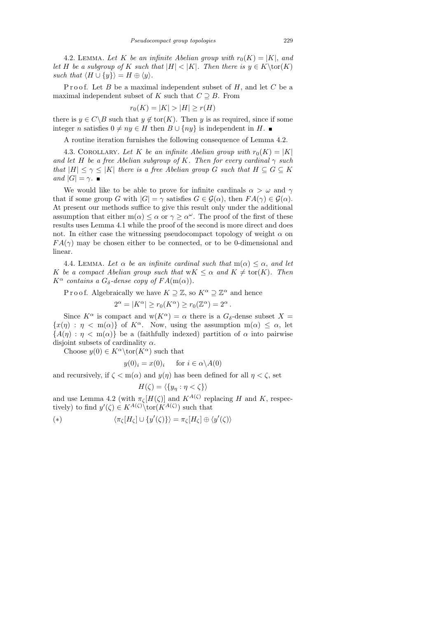4.2. LEMMA. Let K be an infinite Abelian group with  $r_0(K) = |K|$ , and let H be a subgroup of K such that  $|H| < |K|$ . Then there is  $y \in K \text{tor}(K)$ such that  $\langle H \cup \{y\} \rangle = H \oplus \langle y \rangle$ .

Proof. Let B be a maximal independent subset of  $H$ , and let  $C$  be a maximal independent subset of K such that  $C \supseteq B$ . From

$$
r_0(K) = |K| > |H| \ge r(H)
$$

there is  $y \in C \backslash B$  such that  $y \notin \text{tor}(K)$ . Then y is as required, since if some integer *n* satisfies  $0 \neq ny \in H$  then  $B \cup \{ny\}$  is independent in H. ■

A routine iteration furnishes the following consequence of Lemma 4.2.

4.3. COROLLARY. Let K be an infinite Abelian group with  $r_0(K) = |K|$ and let H be a free Abelian subgroup of K. Then for every cardinal  $\gamma$  such that  $|H| \leq \gamma \leq |K|$  there is a free Abelian group G such that  $H \subseteq G \subseteq K$ and  $|G| = \gamma$ .

We would like to be able to prove for infinite cardinals  $\alpha > \omega$  and  $\gamma$ that if some group G with  $|G| = \gamma$  satisfies  $G \in \mathcal{G}(\alpha)$ , then  $FA(\gamma) \in \mathcal{G}(\alpha)$ . At present our methods suffice to give this result only under the additional assumption that either  $m(\alpha) \leq \alpha$  or  $\gamma \geq \alpha^{\omega}$ . The proof of the first of these results uses Lemma 4.1 while the proof of the second is more direct and does not. In either case the witnessing pseudocompact topology of weight  $\alpha$  on  $FA(\gamma)$  may be chosen either to be connected, or to be 0-dimensional and linear.

4.4. LEMMA. Let  $\alpha$  be an infinite cardinal such that  $m(\alpha) \leq \alpha$ , and let K be a compact Abelian group such that  $wK \leq \alpha$  and  $K \neq \text{tor}(K)$ . Then  $K^{\alpha}$  contains a  $G_{\delta}$ -dense copy of  $FA(m(\alpha))$ .

P r o o f. Algebraically we have  $K \supseteq \mathbb{Z}$ , so  $K^{\alpha} \supseteq \mathbb{Z}^{\alpha}$  and hence

$$
2^{\alpha} = |K^{\alpha}| \ge r_0(K^{\alpha}) \ge r_0(\mathbb{Z}^{\alpha}) = 2^{\alpha}.
$$

Since  $K^{\alpha}$  is compact and  $w(K^{\alpha}) = \alpha$  there is a  $G_{\delta}$ -dense subset  $X =$  ${x(\eta) : \eta < m(\alpha)}$  of  $K^{\alpha}$ . Now, using the assumption  $m(\alpha) \leq \alpha$ , let  ${A(\eta) : \eta < m(\alpha)}$  be a (faithfully indexed) partition of  $\alpha$  into pairwise disjoint subsets of cardinality  $\alpha$ .

Choose  $y(0) \in K^{\alpha} \text{tor}(K^{\alpha})$  such that

$$
y(0)_i = x(0)_i \quad \text{ for } i \in \alpha \backslash A(0)
$$

and recursively, if  $\zeta < m(\alpha)$  and  $y(\eta)$  has been defined for all  $\eta < \zeta$ , set

$$
H(\zeta) = \langle \{y_\eta : \eta < \zeta\} \rangle
$$

and use Lemma 4.2 (with  $\pi_{\zeta}[H(\zeta)]$  and  $K^{A(\zeta)}$  replacing H and K, respectively) to find  $y'(\zeta) \in K^{A(\zeta)}\text{tor}(K^{A(\zeta)})$  such that

(\*) 
$$
\langle \pi_{\zeta}[H_{\zeta}] \cup \{y'(\zeta)\}\rangle = \pi_{\zeta}[H_{\zeta}] \oplus \langle y'(\zeta)\rangle
$$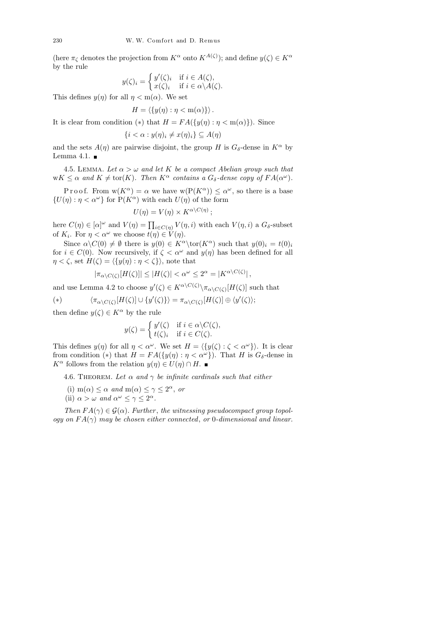(here  $\pi_{\zeta}$  denotes the projection from  $K^{\alpha}$  onto  $K^{A(\zeta)}$ ); and define  $y(\zeta) \in K^{\alpha}$ by the rule

$$
y(\zeta)_i = \begin{cases} y'(\zeta)_i & \text{if } i \in A(\zeta), \\ x(\zeta)_i & \text{if } i \in \alpha \backslash A(\zeta). \end{cases}
$$

This defines  $y(\eta)$  for all  $\eta < m(\alpha)$ . We set

$$
H = \langle \{y(\eta) : \eta < m(\alpha)\} \rangle \, .
$$

It is clear from condition (\*) that  $H = FA({y(\eta) : \eta < m(\alpha)})$ . Since

$$
\{i < \alpha : y(\eta)_i \neq x(\eta)_i\} \subseteq A(\eta)
$$

and the sets  $A(\eta)$  are pairwise disjoint, the group H is  $G_{\delta}$ -dense in  $K^{\alpha}$  by Lemma 4.1.  $\blacksquare$ 

4.5. LEMMA. Let  $\alpha > \omega$  and let K be a compact Abelian group such that  $wK \leq \alpha$  and  $K \neq \text{tor}(K)$ . Then  $K^{\alpha}$  contains a  $G_{\delta}$ -dense copy of  $FA(\alpha^{\omega})$ .

P r o o f. From  $w(K^{\alpha}) = \alpha$  we have  $w(P(K^{\alpha})) \leq \alpha^{\omega}$ , so there is a base  $\{U(\eta): \eta < \alpha^{\omega}\}\$ for P $(K^{\alpha})$  with each  $U(\eta)$  of the form

$$
U(\eta) = V(\eta) \times K^{\alpha \setminus C(\eta)};
$$

here  $C(\eta) \in [\alpha]^\omega$  and  $V(\eta) = \prod_{i \in C(\eta)} V(\eta, i)$  with each  $V(\eta, i)$  a  $G_\delta$ -subset of  $K_i$ . For  $\eta < \alpha^{\omega}$  we choose  $t(\eta) \in V(\eta)$ .

Since  $\alpha \setminus C(0) \neq \emptyset$  there is  $y(0) \in K^{\alpha} \setminus \text{tor}(K^{\alpha})$  such that  $y(0)_i = t(0)_i$ for  $i \in C(0)$ . Now recursively, if  $\zeta < \alpha^{\omega}$  and  $y(\eta)$  has been defined for all  $\eta < \zeta$ , set  $H(\zeta) = \langle \{y(\eta) : \eta < \zeta\} \rangle$ , note that

$$
|\pi_{\alpha\setminus C(\zeta)}[H(\zeta)]| \leq |H(\zeta)| < \alpha^{\omega} \leq 2^{\alpha} = |K^{\alpha\setminus C(\zeta)}|,
$$

and use Lemma 4.2 to choose  $y'(\zeta) \in K^{\alpha\setminus C(\zeta)}\setminus \pi_{\alpha\setminus C(\zeta)}[H(\zeta)]$  such that

(\*) 
$$
\langle \pi_{\alpha \setminus C(\zeta)}[H(\zeta)] \cup \{y'(\zeta)\}\rangle = \pi_{\alpha \setminus C(\zeta)}[H(\zeta)] \oplus \langle y'(\zeta)\rangle;
$$

then define  $y(\zeta) \in K^{\alpha}$  by the rule

$$
y(\zeta) = \begin{cases} y'(\zeta) & \text{if } i \in \alpha \backslash C(\zeta), \\ t(\zeta)_i & \text{if } i \in C(\zeta). \end{cases}
$$

This defines  $y(\eta)$  for all  $\eta < \alpha^{\omega}$ . We set  $H = \langle \{y(\zeta) : \zeta < \alpha^{\omega} \} \rangle$ . It is clear from condition (\*) that  $H = FA({y(\eta) : \eta < \alpha^{\omega}})$ . That H is  $G_{\delta}$ -dense in  $K^{\alpha}$  follows from the relation  $y(\eta) \in U(\eta) \cap H$ .

4.6. THEOREM. Let  $\alpha$  and  $\gamma$  be infinite cardinals such that either

(i) 
$$
m(\alpha) \leq \alpha
$$
 and  $m(\alpha) \leq \gamma \leq 2^{\alpha}$ , or

(ii)  $\alpha > \omega$  and  $\alpha^{\omega} \leq \gamma \leq 2^{\alpha}$ .

Then  $FA(\gamma) \in \mathcal{G}(\alpha)$ . Further, the witnessing pseudocompact group topology on  $FA(\gamma)$  may be chosen either connected, or 0-dimensional and linear.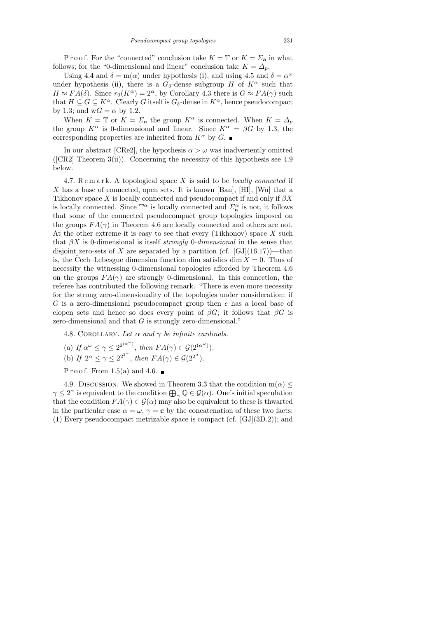P r o o f. For the "connected" conclusion take  $K = \mathbb{T}$  or  $K = \Sigma_a$  in what

follows; for the "0-dimensional and linear" conclusion take  $K = \Delta_p$ . Using 4.4 and  $\delta = m(\alpha)$  under hypothesis (i), and using 4.5 and  $\delta = \alpha^{\omega}$ under hypothesis (ii), there is a  $G_{\delta}$ -dense subgroup H of  $K^{\alpha}$  such that  $H \approx FA(\delta)$ . Since  $r_0(K^{\alpha}) = 2^{\alpha}$ , by Corollary 4.3 there is  $G \approx FA(\gamma)$  such that  $H \subseteq G \subseteq K^{\alpha}$ . Clearly G itself is  $G_{\delta}$ -dense in  $K^{\alpha}$ , hence pseudocompact by 1.3; and  $wG = \alpha$  by 1.2.

When  $K = \mathbb{T}$  or  $K = \Sigma_{\mathbf{a}}$  the group  $K^{\alpha}$  is connected. When  $K = \Delta_p$ the group  $K^{\alpha}$  is 0-dimensional and linear. Since  $K^{\alpha} = \beta G$  by 1.3, the corresponding properties are inherited from  $K^{\alpha}$  by G.

In our abstract [CRe2], the hypothesis  $\alpha > \omega$  was inadvertently omitted ( $[CR2]$  Theorem 3(ii)). Concerning the necessity of this hypothesis see 4.9 below.

4.7. Remark. A topological space X is said to be *locally connected* if X has a base of connected, open sets. It is known [Ban], [HI], [Wu] that a Tikhonov space X is locally connected and pseudocompact if and only if  $\beta X$ is locally connected. Since  $\mathbb{T}^{\alpha}$  is locally connected and  $\mathcal{L}_{\mathbf{a}}^{\alpha}$  is not, it follows that some of the connected pseudocompact group topologies imposed on the groups  $FA(\gamma)$  in Theorem 4.6 are locally connected and others are not. At the other extreme it is easy to see that every (Tikhonov) space  $X$  such that  $\beta X$  is 0-dimensional is itself strongly 0-dimensional in the sense that disjoint zero-sets of X are separated by a partition (cf.  $[GJ](16.17)$ )—that is, the Cech–Lebesgue dimension function dim satisfies dim  $X = 0$ . Thus of necessity the witnessing 0-dimensional topologies afforded by Theorem 4.6 on the groups  $FA(\gamma)$  are strongly 0-dimensional. In this connection, the referee has contributed the following remark. "There is even more necessity for the strong zero-dimensionality of the topologies under consideration: if  $G$  is a zero-dimensional pseudocompact group then  $e$  has a local base of clopen sets and hence so does every point of  $\beta G$ ; it follows that  $\beta G$  is zero-dimensional and that G is strongly zero-dimensional."

4.8. COROLLARY. Let  $\alpha$  and  $\gamma$  be infinite cardinals.

(a) If  $\alpha^{\omega} \leq \gamma \leq 2^{2^{(\alpha^{\omega})}},$  then  $FA(\gamma) \in \mathcal{G}(2^{(\alpha^{\omega})}).$ 

(b) If  $2^{\alpha} \leq \gamma \leq 2^{2^{2^{\alpha}}}$ , then  $FA(\gamma) \in \mathcal{G}(2^{2^{\alpha}})$ .

Proof. From 1.5(a) and 4.6.  $\blacksquare$ 

4.9. DISCUSSION. We showed in Theorem 3.3 that the condition  $m(\alpha) \leq$  $\gamma \leq 2^{\alpha}$  is equivalent to the condition  $\bigoplus_{\gamma} \mathbb{Q} \in \mathcal{G}(\alpha)$ . One's initial speculation that the condition  $FA(\gamma) \in \mathcal{G}(\alpha)$  may also be equivalent to these is thwarted in the particular case  $\alpha = \omega$ ,  $\gamma = \mathbf{c}$  by the concatenation of these two facts: (1) Every pseudocompact metrizable space is compact (cf. [GJ](3D.2)); and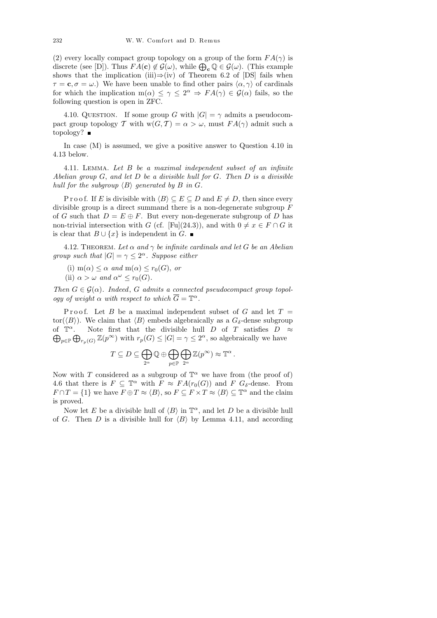(2) every locally compact group topology on a group of the form  $FA(\gamma)$  is discrete (see [D]). Thus  $FA(c) \notin \mathcal{G}(\omega)$ , while  $\bigoplus_{c} \mathbb{Q} \in \mathcal{G}(\omega)$ . (This example shows that the implication (iii) $\Rightarrow$ (iv) of Theorem 6.2 of [DS] fails when  $\tau = \mathbf{c}, \sigma = \omega$ .) We have been unable to find other pairs  $\langle \alpha, \gamma \rangle$  of cardinals for which the implication  $m(\alpha) \leq \gamma \leq 2^{\alpha} \Rightarrow FA(\gamma) \in G(\alpha)$  fails, so the following question is open in ZFC.

4.10. QUESTION. If some group G with  $|G| = \gamma$  admits a pseudocompact group topology T with  $w(G, T) = \alpha > \omega$ , must  $FA(\gamma)$  admit such a topology? ■

In case  $(M)$  is assumed, we give a positive answer to Question 4.10 in 4.13 below.

4.11. Lemma. Let B be a maximal independent subset of an infinite Abelian group  $G$ , and let  $D$  be a divisible hull for  $G$ . Then  $D$  is a divisible hull for the subgroup  $\langle B \rangle$  generated by B in G.

P r o o f. If E is divisible with  $\langle B \rangle \subseteq E \subseteq D$  and  $E \neq D$ , then since every divisible group is a direct summand there is a non-degenerate subgroup  $F$ of G such that  $D = E \oplus F$ . But every non-degenerate subgroup of D has non-trivial intersection with G (cf. [Fu](24.3)), and with  $0 \neq x \in F \cap G$  it is clear that  $B \cup \{x\}$  is independent in G. ■

4.12. THEOREM. Let  $\alpha$  and  $\gamma$  be infinite cardinals and let G be an Abelian group such that  $|G| = \gamma \leq 2^{\alpha}$ . Suppose either

(i) m( $\alpha$ )  $\leq \alpha$  and m( $\alpha$ )  $\leq r_0(G)$ , or

(ii)  $\alpha > \omega$  and  $\alpha^{\omega} \leq r_0(G)$ .

Then  $G \in \mathcal{G}(\alpha)$ . Indeed, G admits a connected pseudocompact group topology of weight  $\alpha$  with respect to which  $\overline{G} = \mathbb{T}^{\alpha}$ .

Proof. Let B be a maximal independent subset of G and let  $T =$ tor( $\langle B \rangle$ ). We claim that  $\langle B \rangle$  embeds algebraically as a  $G_{\delta}$ -dense subgroup of  $\mathbb{T}^{\alpha}$ . Note first that the divisible hull D of T satisfies  $D \approx$  $\bigoplus_{p\in\mathbb{P}}\bigoplus_{r_p(G)}\mathbb{Z}(p^\infty)$  with  $r_p(G)\leq |G|=\gamma\leq 2^\alpha$ , so algebraically we have

$$
T \subseteq D \subseteq \bigoplus_{2^{\alpha}} \mathbb{Q} \oplus \bigoplus_{p \in \mathbb{P}} \bigoplus_{2^{\alpha}} \mathbb{Z}(p^{\infty}) \approx \mathbb{T}^{\alpha}.
$$

Now with T considered as a subgroup of  $\mathbb{T}^{\alpha}$  we have from (the proof of) 4.6 that there is  $F \subseteq \mathbb{T}^{\alpha}$  with  $F \approx FA(r_0(G))$  and  $F G_{\delta}$ -dense. From  $F \cap T = \{1\}$  we have  $F \oplus T \approx \langle B \rangle$ , so  $F \subseteq F \times T \approx \langle B \rangle \subseteq T^{\alpha}$  and the claim is proved.

Now let E be a divisible hull of  $\langle B \rangle$  in  $\mathbb{T}^{\alpha}$ , and let D be a divisible hull of G. Then D is a divisible hull for  $\langle B \rangle$  by Lemma 4.11, and according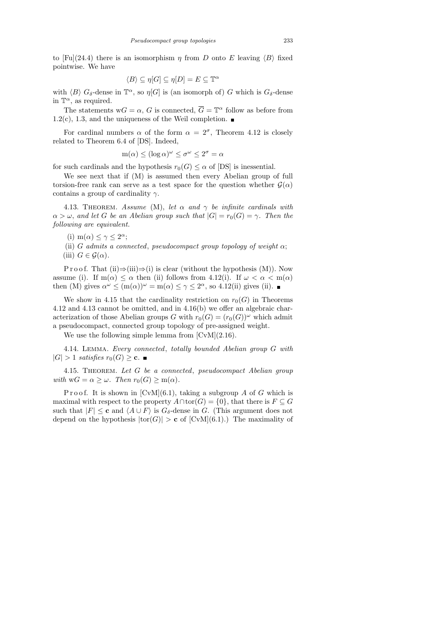to [Fu](24.4) there is an isomorphism  $\eta$  from D onto E leaving  $\langle B \rangle$  fixed pointwise. We have

$$
\langle B \rangle \subseteq \eta[G] \subseteq \eta[D] = E \subseteq \mathbb{T}^{\alpha}
$$

with  $\langle B \rangle$   $G_{\delta}$ -dense in  $\mathbb{T}^{\alpha}$ , so  $\eta[G]$  is (an isomorph of) G which is  $G_{\delta}$ -dense in  $\mathbb{T}^{\alpha}$ , as required.

The statements  $wG = \alpha$ , G is connected,  $\overline{G} = \mathbb{T}^{\alpha}$  follow as before from 1.2(c), 1.3, and the uniqueness of the Weil completion.  $\blacksquare$ 

For cardinal numbers  $\alpha$  of the form  $\alpha = 2^{\sigma}$ , Theorem 4.12 is closely related to Theorem 6.4 of [DS]. Indeed,

$$
m(\alpha) \le (\log \alpha)^{\omega} \le \sigma^{\omega} \le 2^{\sigma} = \alpha
$$

for such cardinals and the hypothesis  $r_0(G) \leq \alpha$  of [DS] is inessential.

We see next that if  $(M)$  is assumed then every Abelian group of full torsion-free rank can serve as a test space for the question whether  $\mathcal{G}(\alpha)$ contains a group of cardinality  $\gamma$ .

4.13. THEOREM. Assume (M), let  $\alpha$  and  $\gamma$  be infinite cardinals with  $\alpha > \omega$ , and let G be an Abelian group such that  $|G| = r_0(G) = \gamma$ . Then the following are equivalent.

- (i)  $m(\alpha) \leq \gamma \leq 2^{\alpha}$ ;
- (ii) G admits a connected, pseudocompact group topology of weight  $\alpha$ ; (iii)  $G \in \mathcal{G}(\alpha)$ .

P r o o f. That  $(ii) \Rightarrow (iii) \Rightarrow (i)$  is clear (without the hypothesis  $(M)$ ). Now assume (i). If  $m(\alpha) \leq \alpha$  then (ii) follows from 4.12(i). If  $\omega < \alpha < m(\alpha)$ then (M) gives  $\alpha^{\omega} \leq (m(\alpha))^{\omega} = m(\alpha) \leq \gamma \leq 2^{\alpha}$ , so 4.12(ii) gives (ii).

We show in 4.15 that the cardinality restriction on  $r_0(G)$  in Theorems 4.12 and 4.13 cannot be omitted, and in 4.16(b) we offer an algebraic characterization of those Abelian groups G with  $r_0(G) = (r_0(G))^{\omega}$  which admit a pseudocompact, connected group topology of pre-assigned weight.

We use the following simple lemma from [CvM](2.16).

4.14. Lemma. Every connected, totally bounded Abelian group G with  $|G| > 1$  satisfies  $r_0(G) \geq \mathbf{c}$ .

4.15. THEOREM. Let G be a connected, pseudocompact Abelian group with  $wG = \alpha \geq \omega$ . Then  $r_0(G) \geq m(\alpha)$ .

Proof. It is shown in  $[CvM](6.1)$ , taking a subgroup A of G which is maximal with respect to the property  $A \cap \text{tor}(G) = \{0\}$ , that there is  $F \subseteq G$ such that  $|F| \leq c$  and  $\langle A \cup F \rangle$  is  $G_{\delta}$ -dense in G. (This argument does not depend on the hypothesis  $|tor(G)| > c$  of  $[CvM](6.1)$ .) The maximality of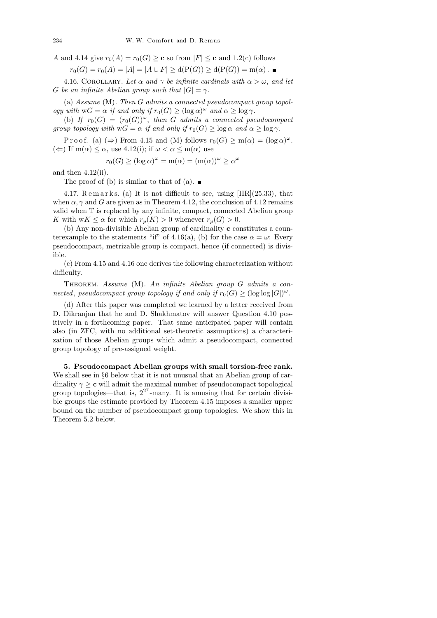A and 4.14 give  $r_0(A) = r_0(G) \ge c$  so from  $|F| \le c$  and 1.2(c) follows

 $r_0(G) = r_0(A) = |A| = |A \cup F| \ge d(P(G)) \ge d(P(\overline{G})) = m(\alpha)$ .

4.16. COROLLARY. Let  $\alpha$  and  $\gamma$  be infinite cardinals with  $\alpha > \omega$ , and let G be an infinite Abelian group such that  $|G| = \gamma$ .

(a) Assume (M). Then G admits a connected pseudocompact group topology with  $wG = \alpha$  if and only if  $r_0(G) \ge (\log \alpha)^{\omega}$  and  $\alpha \ge \log \gamma$ .

(b) If  $r_0(G) = (r_0(G))^{\omega}$ , then G admits a connected pseudocompact group topology with  $wG = \alpha$  if and only if  $r_0(G) \ge \log \alpha$  and  $\alpha \ge \log \gamma$ .

Proof. (a)  $(\Rightarrow)$  From 4.15 and (M) follows  $r_0(G) \ge m(\alpha) = (\log \alpha)^{\omega}$ .  $(\Leftarrow)$  If  $m(\alpha) \leq \alpha$ , use 4.12(i); if  $\omega < \alpha \leq m(\alpha)$  use

$$
r_0(G) \ge (\log \alpha)^{\omega} = m(\alpha) = (m(\alpha))^{\omega} \ge \alpha^{\omega}
$$

and then  $4.12(i)$ .

The proof of (b) is similar to that of (a).

4.17. Remarks. (a) It is not difficult to see, using  $[HR](25.33)$ , that when  $\alpha$ ,  $\gamma$  and G are given as in Theorem 4.12, the conclusion of 4.12 remains valid when T is replaced by any infinite, compact, connected Abelian group K with  $wK \leq \alpha$  for which  $r_p(K) > 0$  whenever  $r_p(G) > 0$ .

(b) Any non-divisible Abelian group of cardinality c constitutes a counterexample to the statements "if" of 4.16(a), (b) for the case  $\alpha = \omega$ : Every pseudocompact, metrizable group is compact, hence (if connected) is divisible.

(c) From 4.15 and 4.16 one derives the following characterization without difficulty.

THEOREM. Assume  $(M)$ . An infinite Abelian group G admits a connected, pseudocompact group topology if and only if  $r_0(G) \geq (\log \log |G|)^{\omega}$ .

(d) After this paper was completed we learned by a letter received from D. Dikranjan that he and D. Shakhmatov will answer Question 4.10 positively in a forthcoming paper. That same anticipated paper will contain also (in ZFC, with no additional set-theoretic assumptions) a characterization of those Abelian groups which admit a pseudocompact, connected group topology of pre-assigned weight.

5. Pseudocompact Abelian groups with small torsion-free rank. We shall see in §6 below that it is not unusual that an Abelian group of cardinality  $\gamma \geq c$  will admit the maximal number of pseudocompact topological group topologies—that is,  $2^{2^{\gamma}}$ -many. It is amusing that for certain divisible groups the estimate provided by Theorem 4.15 imposes a smaller upper bound on the number of pseudocompact group topologies. We show this in Theorem 5.2 below.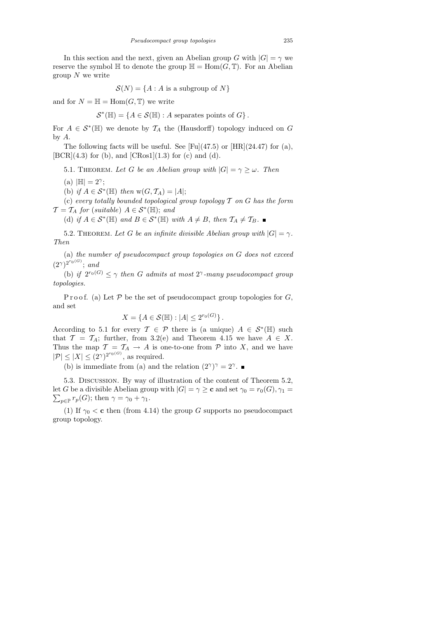In this section and the next, given an Abelian group G with  $|G| = \gamma$  we reserve the symbol  $\mathbb H$  to denote the group  $\mathbb H = \text{Hom}(G, \mathbb T)$ . For an Abelian group  $N$  we write

$$
\mathcal{S}(N) = \{A : A \text{ is a subgroup of } N\}
$$

and for  $N = \mathbb{H} = \text{Hom}(G, \mathbb{T})$  we write

 $\mathcal{S}^*(\mathbb{H}) = \{A \in \mathcal{S}(\mathbb{H}) : A \text{ separates points of } G\}.$ 

For  $A \in \mathcal{S}^*(\mathbb{H})$  we denote by  $\mathcal{T}_A$  the (Hausdorff) topology induced on G by A.

The following facts will be useful. See  $[Fu](47.5)$  or  $[HR](24.47)$  for  $(a)$ ,  $[BCR](4.3)$  for (b), and  $[CRos1](1.3)$  for (c) and (d).

5.1. THEOREM. Let G be an Abelian group with  $|G| = \gamma \geq \omega$ . Then

(a)  $|\mathbb{H}| = 2^{\gamma};$ 

(b) if  $A \in \mathcal{S}^*(\mathbb{H})$  then  $w(G, \mathcal{T}_A) = |A|$ ;

(c) every totally bounded topological group topology  $\mathcal T$  on  $G$  has the form  $\mathcal{T} = \mathcal{T}_A$  for (suitable)  $A \in \mathcal{S}^*(\mathbb{H})$ ; and

(d) if  $A \in \mathcal{S}^*(\mathbb{H})$  and  $B \in \mathcal{S}^*(\mathbb{H})$  with  $A \neq B$ , then  $\mathcal{T}_A \neq \mathcal{T}_B$ .

5.2. THEOREM. Let G be an infinite divisible Abelian group with  $|G| = \gamma$ . Then

(a) the number of pseudocompact group topologies on G does not exceed  $(2^{\gamma})^{2^{r_0(G)}}$ ; and

(b) if  $2^{r_0(G)} \leq \gamma$  then G admits at most  $2^{\gamma}$ -many pseudocompact group topologies.

P r o o f. (a) Let P be the set of pseudocompact group topologies for  $G$ , and set

$$
X = \{ A \in \mathcal{S}(\mathbb{H}) : |A| \leq 2^{r_0(G)} \}.
$$

According to 5.1 for every  $\mathcal{T} \in \mathcal{P}$  there is (a unique)  $A \in \mathcal{S}^*(\mathbb{H})$  such that  $\mathcal{T} = \mathcal{T}_A$ ; further, from 3.2(e) and Theorem 4.15 we have  $A \in X$ . Thus the map  $\mathcal{T} = \mathcal{T}_A \to A$  is one-to-one from  $\mathcal P$  into X, and we have  $|\mathcal{P}| \leq |X| \leq (2^{\gamma})^{2^{r_0(G)}},$  as required.

(b) is immediate from (a) and the relation  $(2^{\gamma})^{\gamma} = 2^{\gamma}$ .

5.3. Discussion. By way of illustration of the content of Theorem 5.2,  $\sum_{p\in\mathbb{P}} r_p(G)$ ; then  $\gamma = \gamma_0 + \gamma_1$ . let G be a divisible Abelian group with  $|G| = \gamma \ge c$  and set  $\gamma_0 = r_0(G), \gamma_1 =$ 

(1) If  $\gamma_0 < c$  then (from 4.14) the group G supports no pseudocompact group topology.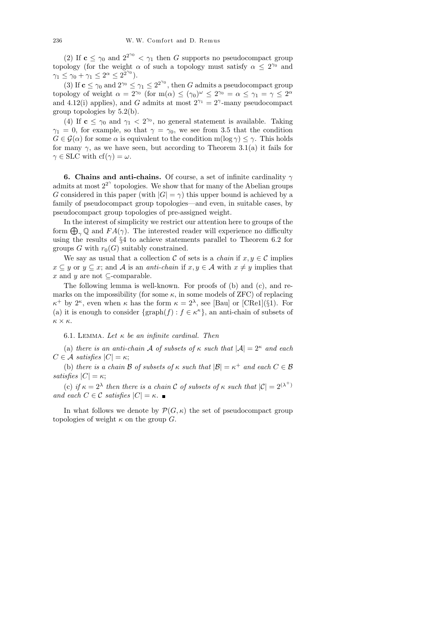(2) If  $c \leq \gamma_0$  and  $2^{2\gamma_0} < \gamma_1$  then G supports no pseudocompact group topology (for the weight  $\alpha$  of such a topology must satisfy  $\alpha \leq 2^{\gamma_0}$  and  $\gamma_1 \leq \gamma_0 + \gamma_1 \leq 2^{\alpha} \leq 2^{2^{\gamma_0}}$ ).

(3) If  $c \leq \gamma_0$  and  $2^{\gamma_0} \leq \gamma_1 \leq 2^{2^{\gamma_0}}$ , then G admits a pseudocompact group topology of weight  $\alpha = 2^{\gamma_0}$  (for  $m(\alpha) \le (\gamma_0)^{\omega} \le 2^{\gamma_0} = \alpha \le \gamma_1 = \gamma \le 2^{\alpha}$ and 4.12(i) applies), and G admits at most  $2^{\gamma_1} = 2^{\gamma}$ -many pseudocompact group topologies by 5.2(b).

(4) If  $c \leq \gamma_0$  and  $\gamma_1 < 2^{\gamma_0}$ , no general statement is available. Taking  $\gamma_1 = 0$ , for example, so that  $\gamma = \gamma_0$ , we see from 3.5 that the condition  $G \in \mathcal{G}(\alpha)$  for some  $\alpha$  is equivalent to the condition m(log  $\gamma$ )  $\leq \gamma$ . This holds for many  $\gamma$ , as we have seen, but according to Theorem 3.1(a) it fails for  $\gamma \in$  SLC with  $cf(\gamma) = \omega$ .

6. Chains and anti-chains. Of course, a set of infinite cardinality  $\gamma$ admits at most  $2^{2^{\gamma}}$  topologies. We show that for many of the Abelian groups G considered in this paper (with  $|G| = \gamma$ ) this upper bound is achieved by a family of pseudocompact group topologies—and even, in suitable cases, by pseudocompact group topologies of pre-assigned weight.

In the interest of simplicity we restrict our attention here to groups of the form  $\bigoplus_{\gamma} \mathbb{Q}$  and  $FA(\gamma)$ . The interested reader will experience no difficulty using the results of §4 to achieve statements parallel to Theorem 6.2 for groups G with  $r_0(G)$  suitably constrained.

We say as usual that a collection C of sets is a *chain* if  $x, y \in \mathcal{C}$  implies  $x \subseteq y$  or  $y \subseteq x$ ; and A is an *anti-chain* if  $x, y \in A$  with  $x \neq y$  implies that x and y are not  $\subseteq$ -comparable.

The following lemma is well-known. For proofs of (b) and (c), and remarks on the impossibility (for some  $\kappa$ , in some models of ZFC) of replacing  $\kappa^+$  by  $2^{\kappa}$ , even when  $\kappa$  has the form  $\kappa = 2^{\lambda}$ , see [Bau] or [CRe1](§1). For (a) it is enough to consider  $\{\text{graph}(f) : f \in \kappa^{\kappa}\}\$ , an anti-chain of subsets of  $\kappa \times \kappa$ .

6.1. LEMMA. Let  $\kappa$  be an infinite cardinal. Then

(a) there is an anti-chain A of subsets of  $\kappa$  such that  $|\mathcal{A}| = 2^{\kappa}$  and each  $C \in \mathcal{A}$  satisfies  $|C| = \kappa$ ;

(b) there is a chain  $\mathcal B$  of subsets of  $\kappa$  such that  $|\mathcal B| = \kappa^+$  and each  $C \in \mathcal B$ satisfies  $|C| = \kappa$ ;

(c) if  $\kappa = 2^{\lambda}$  then there is a chain C of subsets of  $\kappa$  such that  $|\mathcal{C}| = 2^{(\lambda^+)}$ and each  $C \in \mathcal{C}$  satisfies  $|C| = \kappa$ .

In what follows we denote by  $\mathcal{P}(G,\kappa)$  the set of pseudocompact group topologies of weight  $\kappa$  on the group  $G$ .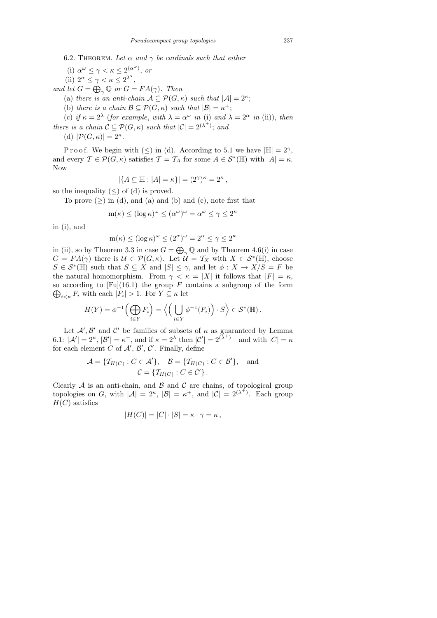6.2. THEOREM. Let  $\alpha$  and  $\gamma$  be cardinals such that either

(i)  $\alpha^{\omega} \leq \gamma < \kappa \leq 2^{(\alpha^{\omega})}$ , or

(ii)  $2^{\alpha} \leq \gamma < \kappa \leq 2^{2^{\alpha}},$ 

and let  $G = \bigoplus_{\gamma} \mathbb{Q}$  or  $G = FA(\gamma)$ . Then

(a) there is an anti-chain  $A \subseteq \mathcal{P}(G,\kappa)$  such that  $|A| = 2^{\kappa}$ ;

(b) there is a chain  $\mathcal{B} \subseteq \mathcal{P}(G,\kappa)$  such that  $|\mathcal{B}| = \kappa^+$ ;

(c) if  $\kappa = 2^{\lambda}$  (for example, with  $\lambda = \alpha^{\omega}$  in (i) and  $\lambda = 2^{\alpha}$  in (ii)), then there is a chain  $\mathcal{C} \subseteq \mathcal{P}(G,\kappa)$  such that  $|\mathcal{C}| = 2^{(\lambda^+)}$ ; and

(d)  $|\mathcal{P}(G,\kappa)| = 2^{\kappa}.$ 

P r o o f. We begin with  $(\le)$  in (d). According to 5.1 we have  $|\mathbb{H}| = 2^{\gamma}$ , and every  $\mathcal{T} \in \mathcal{P}(G, \kappa)$  satisfies  $\mathcal{T} = \mathcal{T}_A$  for some  $A \in \mathcal{S}^*(\mathbb{H})$  with  $|A| = \kappa$ . Now

$$
|\{A \subseteq \mathbb{H} : |A| = \kappa\}| = (2^{\gamma})^{\kappa} = 2^{\kappa},
$$

so the inequality  $(\le)$  of (d) is proved.

To prove  $(\geq)$  in (d), and (a) and (b) and (c), note first that

$$
m(\kappa) \le (\log \kappa)^{\omega} \le (\alpha^{\omega})^{\omega} = \alpha^{\omega} \le \gamma \le 2^{\kappa}
$$

in (i), and

$$
m(\kappa) \le (\log \kappa)^{\omega} \le (2^{\alpha})^{\omega} = 2^{\alpha} \le \gamma \le 2^{\kappa}
$$

in (ii), so by Theorem 3.3 in case  $G = \bigoplus_{\gamma} \mathbb{Q}$  and by Theorem 4.6(i) in case  $G = FA(\gamma)$  there is  $\mathcal{U} \in \mathcal{P}(G,\kappa)$ . Let  $\mathcal{U} = \mathcal{T}_X$  with  $X \in \mathcal{S}^*(\mathbb{H})$ , choose  $S \in \mathcal{S}^*(\mathbb{H})$  such that  $S \subseteq X$  and  $|S| \leq \gamma$ , and let  $\phi: X \to X/S = F$  be the natural homomorphism. From  $\gamma < \kappa = |X|$  it follows that  $|F| = \kappa$ ,  $\bigoplus_{i \leq \kappa} F_i$  with each  $|F_i| > 1$ . For  $Y \subseteq \kappa$  let so according to  $[Fu](16.1)$  the group F contains a subgroup of the form

$$
H(Y) = \phi^{-1}\Big(\bigoplus_{i\in Y} F_i\Big) = \Big\langle \Big(\bigcup_{i\in Y} \phi^{-1}(F_i)\Big) \cdot S \Big\rangle \in \mathcal{S}^*(\mathbb{H}).
$$

Let  $\mathcal{A}', \mathcal{B}'$  and  $\mathcal{C}'$  be families of subsets of  $\kappa$  as guaranteed by Lemma 6.1:  $|\mathcal{A}'| = 2^{\kappa}, |\mathcal{B}'| = \kappa^+,$  and if  $\kappa = 2^{\lambda}$  then  $|\mathcal{C}'| = 2^{(\lambda^+)}$ —and with  $|C| = \kappa$ for each element C of  $\mathcal{A}', \mathcal{B}', \mathcal{C}'$ . Finally, define

$$
\mathcal{A} = \{ \mathcal{T}_{H(C)} : C \in \mathcal{A}' \}, \quad \mathcal{B} = \{ \mathcal{T}_{H(C)} : C \in \mathcal{B}' \}, \quad \text{and}
$$

$$
\mathcal{C} = \{ \mathcal{T}_{H(C)} : C \in \mathcal{C}' \}.
$$

Clearly  $A$  is an anti-chain, and  $B$  and  $C$  are chains, of topological group topologies on G, with  $|\mathcal{A}| = 2^{\kappa}$ ,  $|\mathcal{B}| = \kappa^+$ , and  $|\mathcal{C}| = 2^{(\lambda^+)}$ . Each group  $H(C)$  satisfies

$$
|H(C)| = |C| \cdot |S| = \kappa \cdot \gamma = \kappa \,,
$$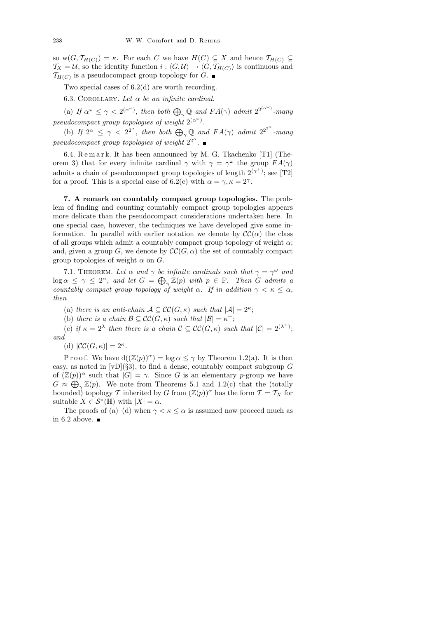so  $w(G, \mathcal{T}_{H(C)}) = \kappa$ . For each C we have  $H(C) \subseteq X$  and hence  $\mathcal{T}_{H(C)} \subseteq$  $\mathcal{T}_X = \mathcal{U}$ , so the identity function  $i: \langle G, \mathcal{U} \rangle \to \langle G, \mathcal{T}_{H(C)} \rangle$  is continuous and  $\mathcal{T}_{H(C)}$  is a pseudocompact group topology for G.

Two special cases of 6.2(d) are worth recording.

6.3. COROLLARY. Let  $\alpha$  be an infinite cardinal.

(a) If  $\alpha^{\omega} \leq \gamma < 2^{(\alpha^{\omega})}$ , then both  $\bigoplus_{\gamma} \mathbb{Q}$  and  $FA(\gamma)$  admit  $2^{2^{(\alpha^{\omega})}}$ -many pseudocompact group topologies of weight  $2^{(\alpha^{\omega})}$ .

(b) If  $2^{\alpha} \leq \gamma < 2^{2^{\alpha}}$ , then both  $\bigoplus_{\gamma} \mathbb{Q}$  and  $FA(\gamma)$  admit  $2^{2^{2^{\alpha}}}$ -many pseudocompact group topologies of weight  $2^{2^{\alpha}}$ .

6.4. Remark. It has been announced by M. G. Tkachenko [T1] (Theorem 3) that for every infinite cardinal  $\gamma$  with  $\gamma = \gamma^{\omega}$  the group  $FA(\gamma)$ admits a chain of pseudocompact group topologies of length  $2^{(\gamma^+)}$ ; see [T2] for a proof. This is a special case of 6.2(c) with  $\alpha = \gamma, \kappa = 2^{\gamma}$ .

7. A remark on countably compact group topologies. The problem of finding and counting countably compact group topologies appears more delicate than the pseudocompact considerations undertaken here. In one special case, however, the techniques we have developed give some information. In parallel with earlier notation we denote by  $\mathcal{CC}(\alpha)$  the class of all groups which admit a countably compact group topology of weight  $\alpha$ ; and, given a group G, we denote by  $\mathcal{CC}(G, \alpha)$  the set of countably compact group topologies of weight  $\alpha$  on  $G$ .

7.1. THEOREM. Let  $\alpha$  and  $\gamma$  be infinite cardinals such that  $\gamma = \gamma^{\omega}$  and  $\log \alpha \leq \gamma \leq 2^{\alpha}$ , and let  $G = \bigoplus_{\gamma} \mathbb{Z}(p)$  with  $p \in \mathbb{P}$ . Then G admits a countably compact group topology of weight  $\alpha$ . If in addition  $\gamma < \kappa \leq \alpha$ , then

(a) there is an anti-chain  $A \subseteq CC(G, \kappa)$  such that  $|A| = 2^{\kappa}$ ;

(b) there is a chain  $\mathcal{B} \subseteq CC(G, \kappa)$  such that  $|\mathcal{B}| = \kappa^+$ ;

(c) if  $\kappa = 2^{\lambda}$  then there is a chain  $\mathcal{C} \subseteq \mathcal{CC}(G, \kappa)$  such that  $|\mathcal{C}| = 2^{(\lambda^+)}$ ; and

(d)  $|\mathcal{CC}(G,\kappa)| = 2^{\kappa}.$ 

P r o o f. We have  $d((\mathbb{Z}(p))^{\alpha}) = \log \alpha \leq \gamma$  by Theorem 1.2(a). It is then easy, as noted in  $[vD](\S3)$ , to find a dense, countably compact subgroup G of  $(\mathbb{Z}(p))^{\alpha}$  such that  $|G| = \gamma$ . Since G is an elementary p-group we have  $G \approx \bigoplus_{\gamma} \mathbb{Z}(p)$ . We note from Theorems 5.1 and 1.2(c) that the (totally bounded) topology T inherited by G from  $(\mathbb{Z}(p))^{\alpha}$  has the form  $\mathcal{T} = \mathcal{T}_X$  for suitable  $X \in \mathcal{S}^*(\mathbb{H})$  with  $|X| = \alpha$ .

The proofs of (a)–(d) when  $\gamma < \kappa \leq \alpha$  is assumed now proceed much as in 6.2 above.  $\blacksquare$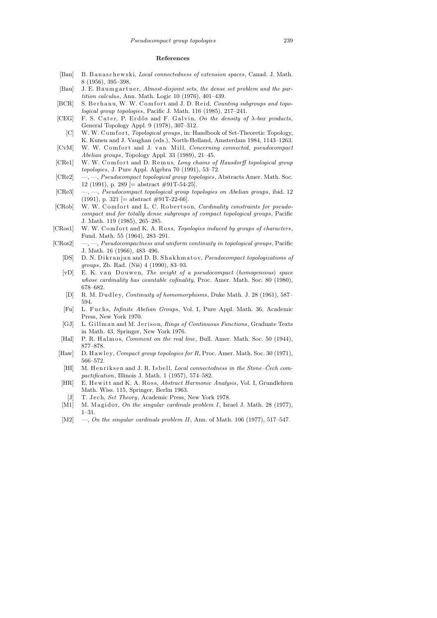## **References**

- [Ban] B. Ban as chewski, *Local connectedness of extension spaces*, Canad. J. Math. 8 (1956), 395–398.
- [Bau] J. E. Baumgartner, *Almost-disjoint sets, the dense set problem and the partition calculus*, Ann. Math. Logic 10 (1976), 401–439.
- [BCR] S. Berhanu, W. W. Comfort and J. D. Reid, *Counting subgroups and topological group topologies*, Pacific J. Math. 116 (1985), 217–241.
- [CEG] F. S. Cater, P. Erdős and F. Galvin, *On the density of*  $\lambda$ *-box products*, General Topology Appl. 9 (1978), 307–312.
	- [C] W. W. Comfort, *Topological groups*, in: Handbook of Set-Theoretic Topology, K. Kunen and J. Vaughan (eds.), North-Holland, Amsterdam 1984, 1143–1263.
- [CvM] W. W. Comfort and J. van Mill, *Concerning connected*, *pseudocompact Abelian groups*, Topology Appl. 33 (1989), 21–45.
- [CRe1] W. W. Comfort and D. Remus, *Long chains of Hausdorff topological group topologies*, J. Pure Appl. Algebra 70 (1991), 53–72.
- [CRe2] —, —, *Pseudocompact topological group topologies*, Abstracts Amer. Math. Soc. 12 (1991), p. 289 [= abstract  $\#91T-54-25$ ].
- [CRe3] —, —, *Pseudocompact topological group topologies on Abelian groups*, ibid. 12 (1991), p. 321 [= abstract  $\#91T-22-66$ ].
- [CRob] W. W. Comfort and L. C. Robertson, *Cardinality constraints for pseudocompact and for totally dense subgroups of compact topological groups*, Pacific J. Math. 119 (1985), 265–285.
- [CRos1] W. W. Comfort and K. A. Ross, *Topologies induced by groups of characters*, Fund. Math. 55 (1964), 283–291.
- [CRos2] —, —, *Pseudocompactness and uniform continuity in topological groups*, Pacific J. Math. 16 (1966), 483–496.
	- [DS] D. N. Dik ranjan and D. B. Shakhmatov, *Pseudocompact topologizations of groups*, Zb. Rad. (Niš) 4 (1990), 83-93.
	- [vD] E. K. v a n D o uw e n, *The weight of a pseudocompact* (*homogeneous*) *space whose cardinality has countable cofinality*, Proc. Amer. Math. Soc. 80 (1980), 678–682.
	- [D] R. M. D u dl e y, *Continuity of homomorphisms*, Duke Math. J. 28 (1961), 587– 594.
	- [Fu] L. Fuchs, *Infinite Abelian Groups*, Vol. I, Pure Appl. Math. 36, Academic Press, New York 1970.
	- [GJ] L. Gillman and M. Jerison, *Rings of Continuous Functions*, Graduate Texts in Math. 43, Springer, New York 1976.
	- [Hal] P. R. Halmos, *Comment on the real line*, Bull. Amer. Math. Soc. 50 (1944), 877–878.
	- [Haw] D. Hawley, *Compact group topologies for R*, Proc. Amer. Math. Soc. 30 (1971), 566–572.
	- [HI] M. Henriksen and J. R. Isbell, *Local connectedness in the Stone–Čech compactification*, Illinois J. Math. 1 (1957), 574–582.
	- [HR] E. Hewitt and K. A. Ross, *Abstract Harmonic Analysis*, Vol. I, Grundlehren Math. Wiss. 115, Springer, Berlin 1963.
	- [J] T. Jech, *Set Theory*, Academic Press, New York 1978.
	- [M1] M. Magidor, *On the singular cardinals problem I*, Israel J. Math. 28 (1977), 1–31.
	- [M2] —, *On the singular cardinals problem II*, Ann. of Math. 106 (1977), 517–547.